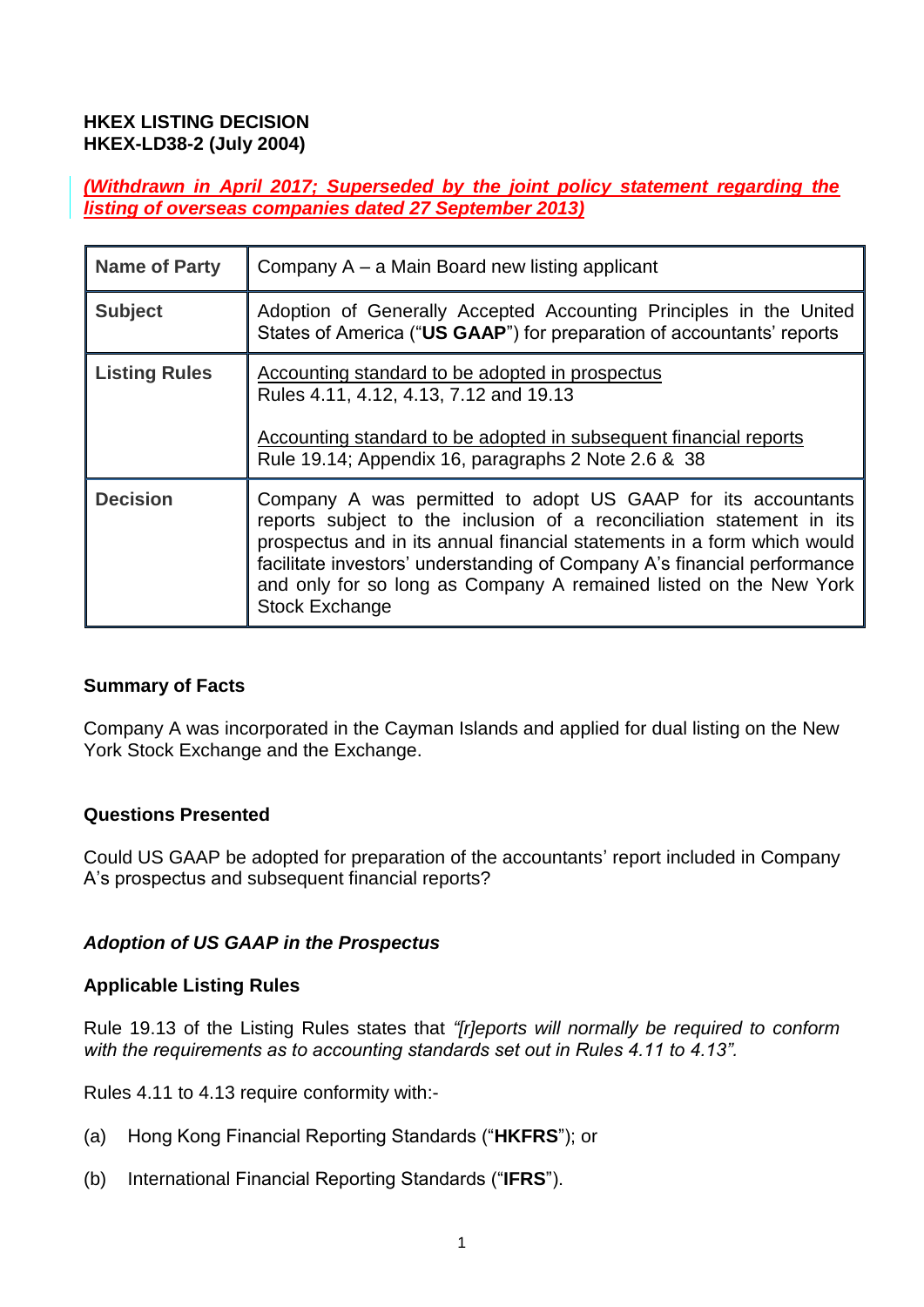### **HKEX LISTING DECISION HKEX-LD38-2 (July 2004)**

*(Withdrawn in April 2017; Superseded by the joint policy statement regarding the listing of overseas companies dated 27 September 2013)*

| <b>Name of Party</b> | Company A – a Main Board new listing applicant                                                                                                                                                                                                                                                                                                                                             |
|----------------------|--------------------------------------------------------------------------------------------------------------------------------------------------------------------------------------------------------------------------------------------------------------------------------------------------------------------------------------------------------------------------------------------|
| <b>Subject</b>       | Adoption of Generally Accepted Accounting Principles in the United<br>States of America ("US GAAP") for preparation of accountants' reports                                                                                                                                                                                                                                                |
| <b>Listing Rules</b> | Accounting standard to be adopted in prospectus<br>Rules 4.11, 4.12, 4.13, 7.12 and 19.13<br>Accounting standard to be adopted in subsequent financial reports<br>Rule 19.14; Appendix 16, paragraphs 2 Note 2.6 & 38                                                                                                                                                                      |
| <b>Decision</b>      | Company A was permitted to adopt US GAAP for its accountants<br>reports subject to the inclusion of a reconciliation statement in its<br>prospectus and in its annual financial statements in a form which would<br>facilitate investors' understanding of Company A's financial performance<br>and only for so long as Company A remained listed on the New York<br><b>Stock Exchange</b> |

### **Summary of Facts**

Company A was incorporated in the Cayman Islands and applied for dual listing on the New York Stock Exchange and the Exchange.

### **Questions Presented**

Could US GAAP be adopted for preparation of the accountants' report included in Company A's prospectus and subsequent financial reports?

### *Adoption of US GAAP in the Prospectus*

### **Applicable Listing Rules**

Rule 19.13 of the Listing Rules states that *"[r]eports will normally be required to conform with the requirements as to accounting standards set out in Rules 4.11 to 4.13".*

Rules 4.11 to 4.13 require conformity with:-

- (a) Hong Kong Financial Reporting Standards ("**HKFRS**"); or
- (b) International Financial Reporting Standards ("**IFRS**").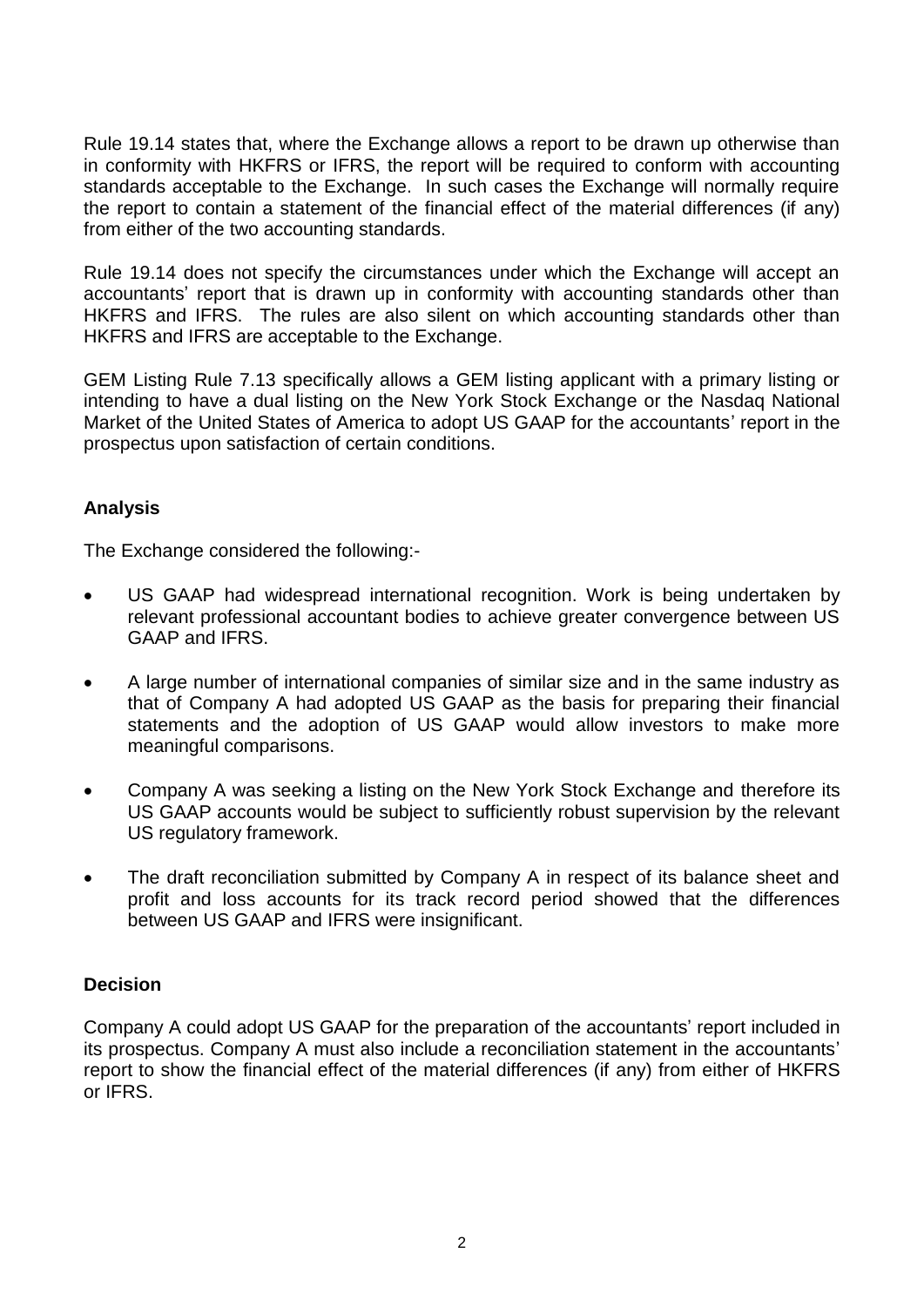Rule 19.14 states that, where the Exchange allows a report to be drawn up otherwise than in conformity with HKFRS or IFRS, the report will be required to conform with accounting standards acceptable to the Exchange. In such cases the Exchange will normally require the report to contain a statement of the financial effect of the material differences (if any) from either of the two accounting standards.

Rule 19.14 does not specify the circumstances under which the Exchange will accept an accountants' report that is drawn up in conformity with accounting standards other than HKFRS and IFRS. The rules are also silent on which accounting standards other than HKFRS and IFRS are acceptable to the Exchange.

GEM Listing Rule 7.13 specifically allows a GEM listing applicant with a primary listing or intending to have a dual listing on the New York Stock Exchange or the Nasdaq National Market of the United States of America to adopt US GAAP for the accountants' report in the prospectus upon satisfaction of certain conditions.

# **Analysis**

The Exchange considered the following:-

- US GAAP had widespread international recognition. Work is being undertaken by relevant professional accountant bodies to achieve greater convergence between US GAAP and IFRS.
- A large number of international companies of similar size and in the same industry as that of Company A had adopted US GAAP as the basis for preparing their financial statements and the adoption of US GAAP would allow investors to make more meaningful comparisons.
- Company A was seeking a listing on the New York Stock Exchange and therefore its US GAAP accounts would be subject to sufficiently robust supervision by the relevant US regulatory framework.
- The draft reconciliation submitted by Company A in respect of its balance sheet and profit and loss accounts for its track record period showed that the differences between US GAAP and IFRS were insignificant.

# **Decision**

Company A could adopt US GAAP for the preparation of the accountants' report included in its prospectus. Company A must also include a reconciliation statement in the accountants' report to show the financial effect of the material differences (if any) from either of HKFRS or IFRS.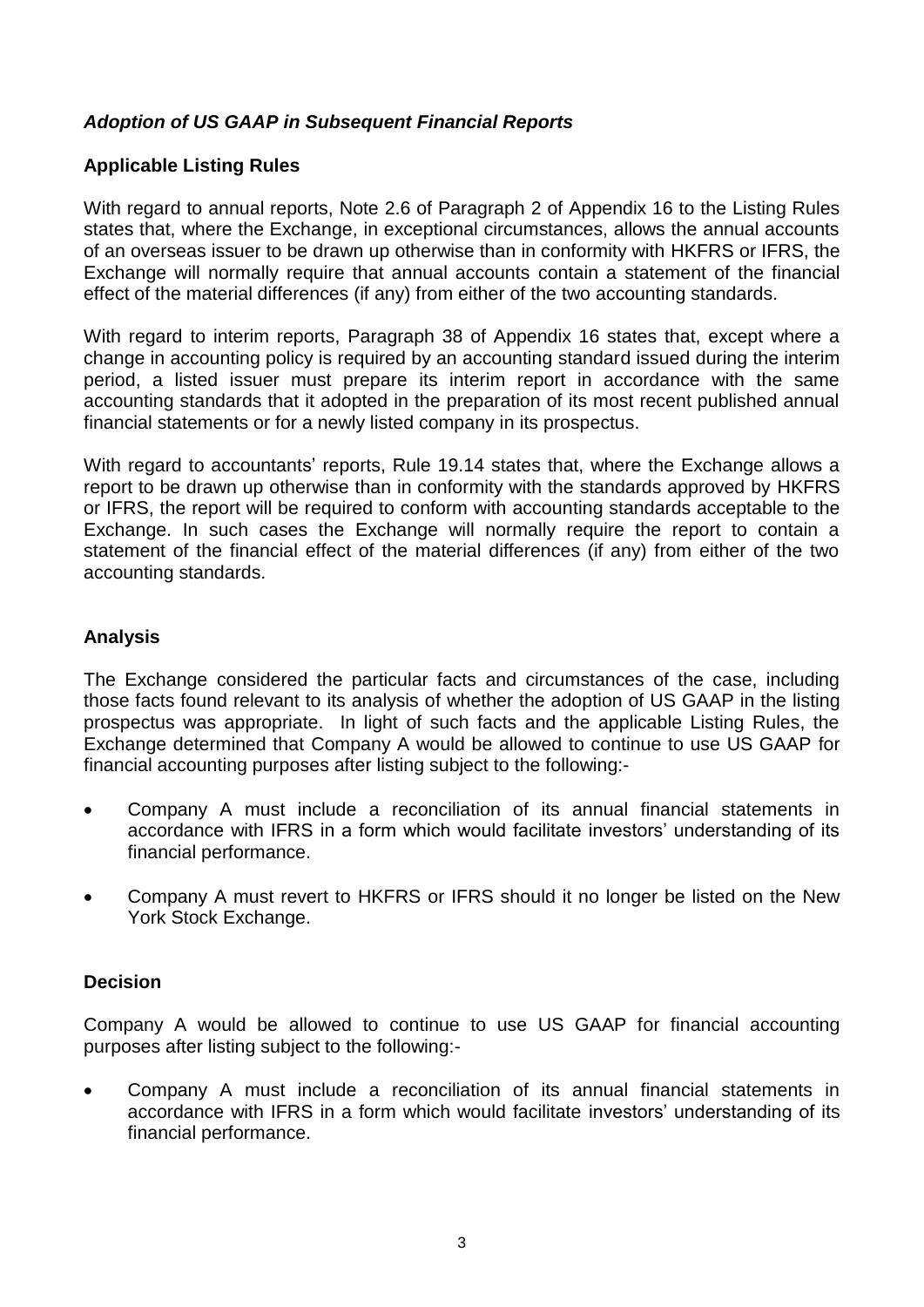# *Adoption of US GAAP in Subsequent Financial Reports*

### **Applicable Listing Rules**

With regard to annual reports, Note 2.6 of Paragraph 2 of Appendix 16 to the Listing Rules states that, where the Exchange, in exceptional circumstances, allows the annual accounts of an overseas issuer to be drawn up otherwise than in conformity with HKFRS or IFRS, the Exchange will normally require that annual accounts contain a statement of the financial effect of the material differences (if any) from either of the two accounting standards*.*

With regard to interim reports, Paragraph 38 of Appendix 16 states that, except where a change in accounting policy is required by an accounting standard issued during the interim period, a listed issuer must prepare its interim report in accordance with the same accounting standards that it adopted in the preparation of its most recent published annual financial statements or for a newly listed company in its prospectus.

With regard to accountants' reports, Rule 19.14 states that, where the Exchange allows a report to be drawn up otherwise than in conformity with the standards approved by HKFRS or IFRS, the report will be required to conform with accounting standards acceptable to the Exchange. In such cases the Exchange will normally require the report to contain a statement of the financial effect of the material differences (if any) from either of the two accounting standards.

### **Analysis**

The Exchange considered the particular facts and circumstances of the case, including those facts found relevant to its analysis of whether the adoption of US GAAP in the listing prospectus was appropriate. In light of such facts and the applicable Listing Rules, the Exchange determined that Company A would be allowed to continue to use US GAAP for financial accounting purposes after listing subject to the following:-

- Company A must include a reconciliation of its annual financial statements in accordance with IFRS in a form which would facilitate investors' understanding of its financial performance.
- Company A must revert to HKFRS or IFRS should it no longer be listed on the New York Stock Exchange.

# **Decision**

Company A would be allowed to continue to use US GAAP for financial accounting purposes after listing subject to the following:-

 Company A must include a reconciliation of its annual financial statements in accordance with IFRS in a form which would facilitate investors' understanding of its financial performance.